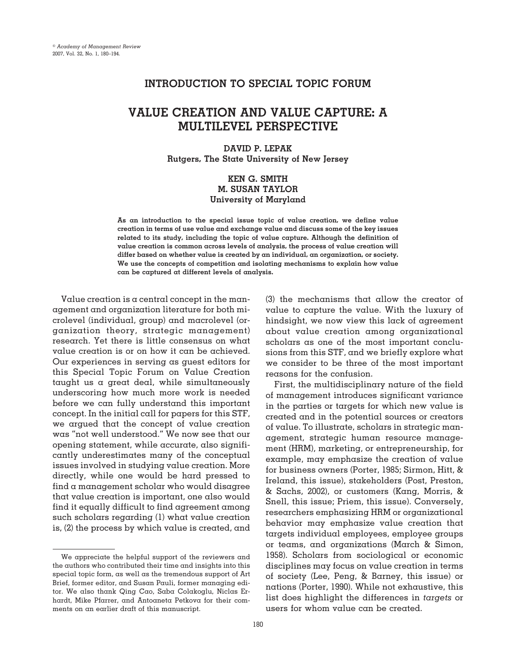# **INTRODUCTION TO SPECIAL TOPIC FORUM**

# **VALUE CREATION AND VALUE CAPTURE: A MULTILEVEL PERSPECTIVE**

# **DAVID P. LEPAK Rutgers, The State University of New Jersey**

# **KEN G. SMITH M. SUSAN TAYLOR University of Maryland**

**As an introduction to the special issue topic of value creation, we define value creation in terms of use value and exchange value and discuss some of the key issues related to its study, including the topic of value capture. Although the definition of value creation is common across levels of analysis, the process of value creation will differ based on whether value is created by an individual, an organization, or society. We use the concepts of competition and isolating mechanisms to explain how value can be captured at different levels of analysis.**

Value creation is a central concept in the management and organization literature for both microlevel (individual, group) and macrolevel (organization theory, strategic management) research. Yet there is little consensus on what value creation is or on how it can be achieved. Our experiences in serving as guest editors for this Special Topic Forum on Value Creation taught us a great deal, while simultaneously underscoring how much more work is needed before we can fully understand this important concept. In the initial call for papers for this STF, we argued that the concept of value creation was "not well understood." We now see that our opening statement, while accurate, also significantly underestimates many of the conceptual issues involved in studying value creation. More directly, while one would be hard pressed to find a management scholar who would disagree that value creation is important, one also would find it equally difficult to find agreement among such scholars regarding (1) what value creation is, (2) the process by which value is created, and

(3) the mechanisms that allow the creator of value to capture the value. With the luxury of hindsight, we now view this lack of agreement about value creation among organizational scholars as one of the most important conclusions from this STF, and we briefly explore what we consider to be three of the most important reasons for the confusion.

First, the multidisciplinary nature of the field of management introduces significant variance in the parties or targets for which new value is created and in the potential sources or creators of value. To illustrate, scholars in strategic management, strategic human resource management (HRM), marketing, or entrepreneurship, for example, may emphasize the creation of value for business owners (Porter, 1985; Sirmon, Hitt, & Ireland, this issue), stakeholders (Post, Preston, & Sachs, 2002), or customers (Kang, Morris, & Snell, this issue; Priem, this issue). Conversely, researchers emphasizing HRM or organizational behavior may emphasize value creation that targets individual employees, employee groups or teams, and organizations (March & Simon, 1958). Scholars from sociological or economic disciplines may focus on value creation in terms of society (Lee, Peng, & Barney, this issue) or nations (Porter, 1990). While not exhaustive, this list does highlight the differences in *targets* or users for whom value can be created.

We appreciate the helpful support of the reviewers and the authors who contributed their time and insights into this special topic form, as well as the tremendous support of Art Brief, former editor, and Susan Pauli, former managing editor. We also thank Qing Cao, Saba Colakoglu, Niclas Erhardt, Mike Pfarrer, and Antoaneta Petkova for their comments on an earlier draft of this manuscript.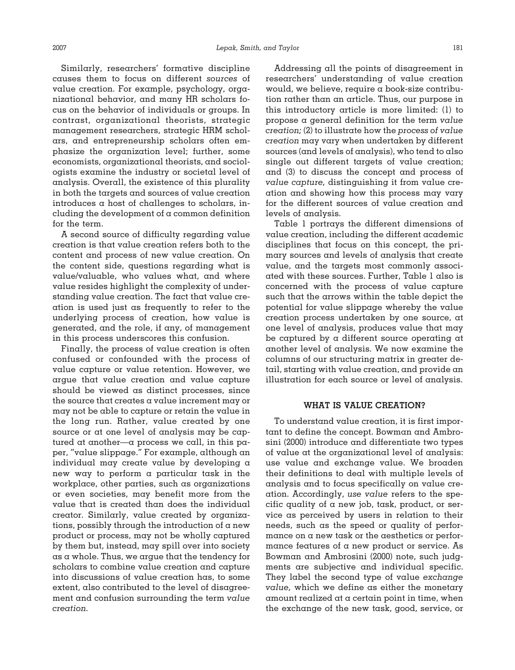Similarly, researchers' formative discipline causes them to focus on different *sources* of value creation. For example, psychology, organizational behavior, and many HR scholars focus on the behavior of individuals or groups. In contrast, organizational theorists, strategic management researchers, strategic HRM scholars, and entrepreneurship scholars often emphasize the organization level; further, some economists, organizational theorists, and sociologists examine the industry or societal level of analysis. Overall, the existence of this plurality in both the targets and sources of value creation introduces a host of challenges to scholars, including the development of  $\alpha$  common definition for the term.

A second source of difficulty regarding value creation is that value creation refers both to the content and process of new value creation. On the content side, questions regarding what is value/valuable, who values what, and where value resides highlight the complexity of understanding value creation. The fact that value creation is used just as frequently to refer to the underlying process of creation, how value is generated, and the role, if any, of management in this process underscores this confusion.

Finally, the process of value creation is often confused or confounded with the process of value capture or value retention. However, we argue that value creation and value capture should be viewed as distinct processes, since the source that creates a value increment may or may not be able to capture or retain the value in the long run. Rather, value created by one source or at one level of analysis may be captured at another—a process we call, in this paper, "value slippage." For example, although an individual may create value by developing a new way to perform a particular task in the workplace, other parties, such as organizations or even societies, may benefit more from the value that is created than does the individual creator. Similarly, value created by organizations, possibly through the introduction of a new product or process, may not be wholly captured by them but, instead, may spill over into society as a whole. Thus, we argue that the tendency for scholars to combine value creation and capture into discussions of value creation has, to some extent, also contributed to the level of disagreement and confusion surrounding the term *value creation.*

Addressing all the points of disagreement in researchers' understanding of value creation would, we believe, require a book-size contribution rather than an article. Thus, our purpose in this introductory article is more limited: (1) to propose a general definition for the term *value creation;* (2) to illustrate how the *process of value creation* may vary when undertaken by different sources (and levels of analysis), who tend to also single out different targets of value creation; and (3) to discuss the concept and process of *value capture,* distinguishing it from value creation and showing how this process may vary for the different sources of value creation and levels of analysis.

Table 1 portrays the different dimensions of value creation, including the different academic disciplines that focus on this concept, the primary sources and levels of analysis that create value, and the targets most commonly associated with these sources. Further, Table 1 also is concerned with the process of value capture such that the arrows within the table depict the potential for value slippage whereby the value creation process undertaken by one source, at one level of analysis, produces value that may be captured by a different source operating at another level of analysis. We now examine the columns of our structuring matrix in greater detail, starting with value creation, and provide an illustration for each source or level of analysis.

#### **WHAT IS VALUE CREATION?**

To understand value creation, it is first important to define the concept. Bowman and Ambrosini (2000) introduce and differentiate two types of value at the organizational level of analysis: use value and exchange value. We broaden their definitions to deal with multiple levels of analysis and to focus specifically on value creation. Accordingly, *use value* refers to the specific quality of  $\alpha$  new job, task, product, or service as perceived by users in relation to their needs, such as the speed or quality of performance on a new task or the aesthetics or performance features of a new product or service. As Bowman and Ambrosini (2000) note, such judgments are subjective and individual specific. They label the second type of value *exchange value,* which we define as either the monetary amount realized at a certain point in time, when the exchange of the new task, good, service, or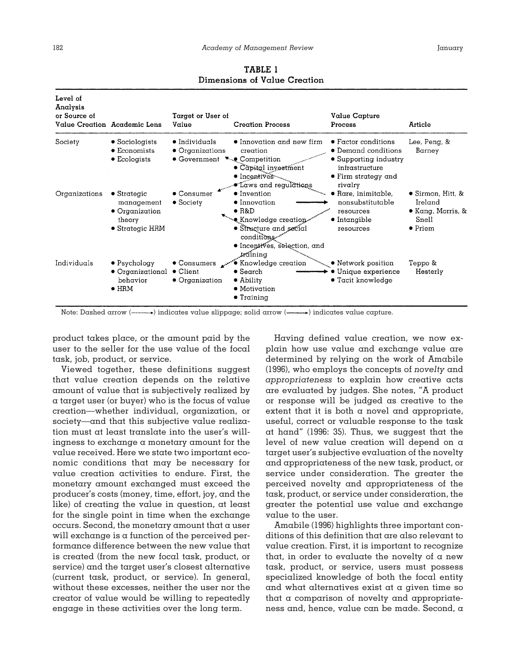| Level of<br>Analysis<br>or Source of | Value Creation Academic Lens                                                                     | Target or User of<br>Value                                               | <b>Creation Process</b>                                                                                                                                             | Value Capture<br>Process                                                                                                        | Article                                                                                       |
|--------------------------------------|--------------------------------------------------------------------------------------------------|--------------------------------------------------------------------------|---------------------------------------------------------------------------------------------------------------------------------------------------------------------|---------------------------------------------------------------------------------------------------------------------------------|-----------------------------------------------------------------------------------------------|
| Society                              | $\bullet$ Sociologists<br>$\bullet$ Economists<br>$\bullet$ Ecologists                           | $\bullet$ Individuals<br>$\bullet$ Organizations<br>$\bullet$ Government | • Innovation and new firm<br>creation<br>क्ट Competition<br>$\bullet$ Căpital investment<br>$\bullet$ Incentives $\ddots$<br>Laws and regulations                   | • Factor conditions<br>• Demand conditions<br>• Supporting industry<br>infrastructure<br>$\bullet$ Firm strategy and<br>rivalry | Lee, Peng, &<br>Barney                                                                        |
| Organizations                        | $\bullet$ Strategic<br>management<br>$\bullet$ Organization<br>theory<br>$\bullet$ Strategic HRM | $\bullet$ Consumer<br>• Society                                          | • Invention<br>$\bullet$ Innovation<br>$\bullet$ R&D<br>• Knowledge creation.<br>· Structure and social<br>conditions."<br>· Incentives, selection, and<br>training | $\bullet$ Rare, inimitable,<br>nonsubstitutable<br>resources<br>$\bullet$ Intangible<br>resources                               | $\bullet$ Sirmon, Hitt, &<br>Ireland<br>$\bullet$ Kang, Morris, &<br>Snell<br>$\bullet$ Priem |
| Individuals                          | $\bullet$ Psychology<br>$\bullet$ Organizational<br>behavior<br>$\bullet$ HRM                    | $\bullet$ Consumers $\ldots$<br>• Client<br>$\bullet$ Organization       | Knowledge creation<br>$\bullet$ Search<br>$\bullet$ Ability<br>• Motivation<br>$\bullet$ Training                                                                   | • Network position<br>Unique experience<br>• Tacit knowledge                                                                    | Teppo &<br>Hesterly                                                                           |

TABLE 1 Dimensions of Value Creation

Note: Dashed arrow ( ) indicates value slippage; solid arrow ( ) indicates value capture.

product takes place, or the amount paid by the user to the seller for the use value of the focal task, job, product, or service.

Viewed together, these definitions suggest that value creation depends on the relative amount of value that is subjectively realized by a target user (or buyer) who is the focus of value creation—whether individual, organization, or society—and that this subjective value realization must at least translate into the user's willingness to exchange a monetary amount for the value received. Here we state two important economic conditions that may be necessary for value creation activities to endure. First, the monetary amount exchanged must exceed the producer's costs (money, time, effort, joy, and the like) of creating the value in question, at least for the single point in time when the exchange occurs. Second, the monetary amount that a user will exchange is a function of the perceived performance difference between the new value that is created (from the new focal task, product, or service) and the target user's closest alternative (current task, product, or service). In general, without these excesses, neither the user nor the creator of value would be willing to repeatedly engage in these activities over the long term.

Having defined value creation, we now explain how use value and exchange value are determined by relying on the work of Amabile (1996), who employs the concepts of *novelty* and *appropriateness* to explain how creative acts are evaluated by judges. She notes, "A product or response will be judged as creative to the extent that it is both  $\alpha$  novel and appropriate, useful, correct or valuable response to the task at hand" (1996: 35). Thus, we suggest that the level of new value creation will depend on a target user's subjective evaluation of the novelty and appropriateness of the new task, product, or service under consideration. The greater the perceived novelty and appropriateness of the task, product, or service under consideration, the greater the potential use value and exchange value to the user.

Amabile (1996) highlights three important conditions of this definition that are also relevant to value creation. First, it is important to recognize that, in order to evaluate the novelty of  $\alpha$  new task, product, or service, users must possess specialized knowledge of both the focal entity and what alternatives exist at a given time so that a comparison of novelty and appropriateness and, hence, value can be made. Second, a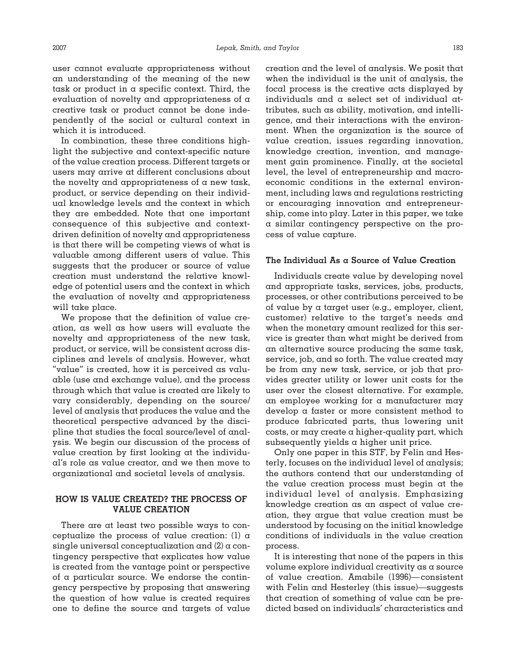user cannot evaluate appropriateness without an understanding of the meaning of the new task or product in a specific context. Third, the evaluation of novelty and appropriateness of a creative task or product cannot be done independently of the social or cultural context in which it is introduced.

In combination, these three conditions highlight the subjective and context-specific nature of the value creation process. Different targets or users may arrive at different conclusions about the novelty and appropriateness of  $\alpha$  new task, product, or service depending on their individual knowledge levels and the context in which they are embedded. Note that one important consequence of this subjective and contextdriven definition of novelty and appropriateness is that there will be competing views of what is valuable among different users of value. This suggests that the producer or source of value creation must understand the relative knowledge of potential users and the context in which the evaluation of novelty and appropriateness will take place.

We propose that the definition of value creation, as well as how users will evaluate the novelty and appropriateness of the new task, product, or service, will be consistent across disciplines and levels of analysis. However, what "value" is created, how it is perceived as valuable (use and exchange value), and the process through which that value is created are likely to vary considerably, depending on the source/ level of analysis that produces the value and the theoretical perspective advanced by the discipline that studies the focal source/level of analysis. We begin our discussion of the process of value creation by first looking at the individual's role as value creator, and we then move to organizational and societal levels of analysis.

# **HOW IS VALUE CREATED? THE PROCESS OF VALUE CREATION**

There are at least two possible ways to conceptualize the process of value creation: (1)  $\alpha$ single universal conceptualization and  $(2)$  a contingency perspective that explicates how value is created from the vantage point or perspective of a particular source. We endorse the contingency perspective by proposing that answering the question of how value is created requires one to define the source and targets of value creation and the level of analysis. We posit that when the individual is the unit of analysis, the focal process is the creative acts displayed by individuals and a select set of individual attributes, such as ability, motivation, and intelligence, and their interactions with the environment. When the organization is the source of value creation, issues regarding innovation, knowledge creation, invention, and management gain prominence. Finally, at the societal level, the level of entrepreneurship and macroeconomic conditions in the external environment, including laws and regulations restricting or encouraging innovation and entrepreneurship, come into play. Later in this paper, we take a similar contingency perspective on the process of value capture.

### **The Individual As a Source of Value Creation**

Individuals create value by developing novel and appropriate tasks, services, jobs, products, processes, or other contributions perceived to be of value by a target user (e.g., employer, client, customer) relative to the target's needs and when the monetary amount realized for this service is greater than what might be derived from an alternative source producing the same task, service, job, and so forth. The value created may be from any new task, service, or job that provides greater utility or lower unit costs for the user over the closest alternative. For example, an employee working for a manufacturer may develop a faster or more consistent method to produce fabricated parts, thus lowering unit costs, or may create a higher-quality part, which subsequently yields a higher unit price.

Only one paper in this STF, by Felin and Hesterly, focuses on the individual level of analysis; the authors contend that our understanding of the value creation process must begin at the individual level of analysis. Emphasizing knowledge creation as an aspect of value creation, they argue that value creation must be understood by focusing on the initial knowledge conditions of individuals in the value creation process.

It is interesting that none of the papers in this volume explore individual creativity as a source of value creation. Amabile (1996)— consistent with Felin and Hesterley (this issue)—suggests that creation of something of value can be predicted based on individuals' characteristics and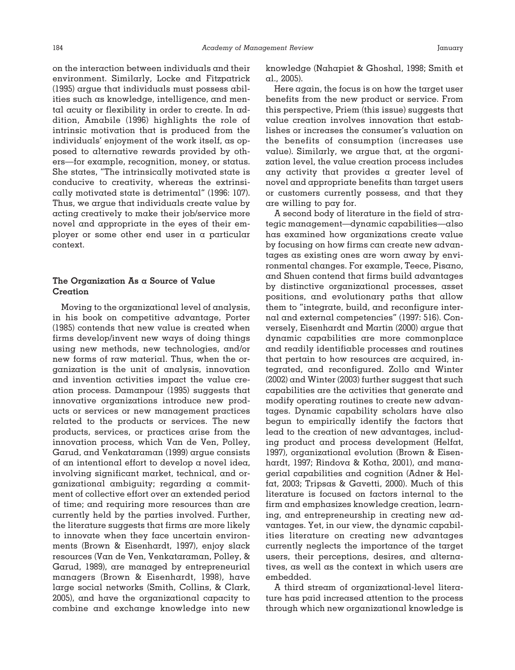on the interaction between individuals and their environment. Similarly, Locke and Fitzpatrick (1995) argue that individuals must possess abilities such as knowledge, intelligence, and mental acuity or flexibility in order to create. In addition, Amabile (1996) highlights the role of intrinsic motivation that is produced from the individuals' enjoyment of the work itself, as opposed to alternative rewards provided by others—for example, recognition, money, or status. She states, "The intrinsically motivated state is conducive to creativity, whereas the extrinsically motivated state is detrimental" (1996: 107). Thus, we argue that individuals create value by acting creatively to make their job/service more novel and appropriate in the eyes of their employer or some other end user in a particular context.

# **The Organization As a Source of Value Creation**

Moving to the organizational level of analysis, in his book on competitive advantage, Porter (1985) contends that new value is created when firms develop/invent new ways of doing things using new methods, new technologies, and/or new forms of raw material. Thus, when the organization is the unit of analysis, innovation and invention activities impact the value creation process. Damanpour (1995) suggests that innovative organizations introduce new products or services or new management practices related to the products or services. The new products, services, or practices arise from the innovation process, which Van de Ven, Polley, Garud, and Venkataraman (1999) argue consists of an intentional effort to develop a novel idea, involving significant market, technical, and organizational ambiguity; regarding a commitment of collective effort over an extended period of time; and requiring more resources than are currently held by the parties involved. Further, the literature suggests that firms are more likely to innovate when they face uncertain environments (Brown & Eisenhardt, 1997), enjoy slack resources (Van de Ven, Venkataraman, Polley, & Garud, 1989), are managed by entrepreneurial managers (Brown & Eisenhardt, 1998), have large social networks (Smith, Collins, & Clark, 2005), and have the organizational capacity to combine and exchange knowledge into new

knowledge (Nahapiet & Ghoshal, 1998; Smith et al., 2005).

Here again, the focus is on how the target user benefits from the new product or service. From this perspective, Priem (this issue) suggests that value creation involves innovation that establishes or increases the consumer's valuation on the benefits of consumption (increases use value). Similarly, we argue that, at the organization level, the value creation process includes any activity that provides a greater level of novel and appropriate benefits than target users or customers currently possess, and that they are willing to pay for.

A second body of literature in the field of strategic management—dynamic capabilities—also has examined how organizations create value by focusing on how firms can create new advantages as existing ones are worn away by environmental changes. For example, Teece, Pisano, and Shuen contend that firms build advantages by distinctive organizational processes, asset positions, and evolutionary paths that allow them to "integrate, build, and reconfigure internal and external competencies" (1997: 516). Conversely, Eisenhardt and Martin (2000) argue that dynamic capabilities are more commonplace and readily identifiable processes and routines that pertain to how resources are acquired, integrated, and reconfigured. Zollo and Winter (2002) and Winter (2003) further suggest that such capabilities are the activities that generate and modify operating routines to create new advantages. Dynamic capability scholars have also begun to empirically identify the factors that lead to the creation of new advantages, including product and process development (Helfat, 1997), organizational evolution (Brown & Eisenhardt, 1997; Rindova & Kotha, 2001), and managerial capabilities and cognition (Adner & Helfat, 2003; Tripsas & Gavetti, 2000). Much of this literature is focused on factors internal to the firm and emphasizes knowledge creation, learning, and entrepreneurship in creating new advantages. Yet, in our view, the dynamic capabilities literature on creating new advantages currently neglects the importance of the target users, their perceptions, desires, and alternatives, as well as the context in which users are embedded.

A third stream of organizational-level literature has paid increased attention to the process through which new organizational knowledge is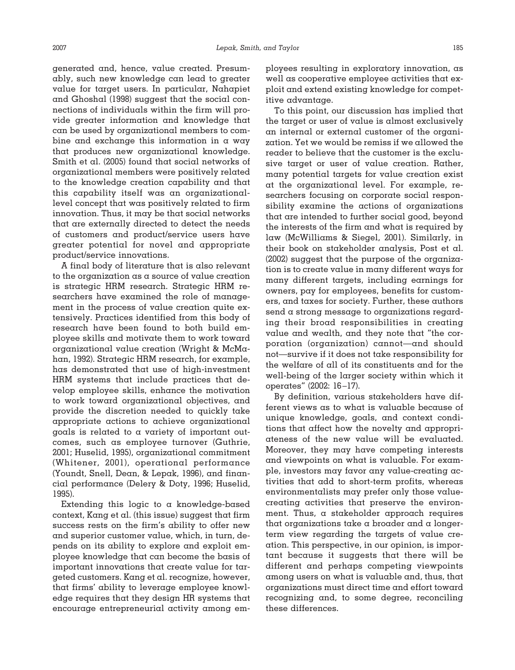generated and, hence, value created. Presumably, such new knowledge can lead to greater value for target users. In particular, Nahapiet and Ghoshal (1998) suggest that the social connections of individuals within the firm will provide greater information and knowledge that can be used by organizational members to combine and exchange this information in a way that produces new organizational knowledge. Smith et al. (2005) found that social networks of organizational members were positively related to the knowledge creation capability and that this capability itself was an organizationallevel concept that was positively related to firm innovation. Thus, it may be that social networks that are externally directed to detect the needs of customers and product/service users have greater potential for novel and appropriate

product/service innovations. A final body of literature that is also relevant to the organization as a source of value creation is strategic HRM research. Strategic HRM researchers have examined the role of management in the process of value creation quite extensively. Practices identified from this body of research have been found to both build employee skills and motivate them to work toward organizational value creation (Wright & McMahan, 1992). Strategic HRM research, for example, has demonstrated that use of high-investment HRM systems that include practices that develop employee skills, enhance the motivation to work toward organizational objectives, and provide the discretion needed to quickly take appropriate actions to achieve organizational goals is related to a variety of important outcomes, such as employee turnover (Guthrie, 2001; Huselid, 1995), organizational commitment (Whitener, 2001), operational performance (Youndt, Snell, Dean, & Lepak, 1996), and financial performance (Delery & Doty, 1996; Huselid, 1995).

Extending this logic to a knowledge-based context, Kang et al. (this issue) suggest that firm success rests on the firm's ability to offer new and superior customer value, which, in turn, depends on its ability to explore and exploit employee knowledge that can become the basis of important innovations that create value for targeted customers. Kang et al. recognize, however, that firms' ability to leverage employee knowledge requires that they design HR systems that encourage entrepreneurial activity among employees resulting in exploratory innovation, as well as cooperative employee activities that exploit and extend existing knowledge for competitive advantage.

To this point, our discussion has implied that the target or user of value is almost exclusively an internal or external customer of the organization. Yet we would be remiss if we allowed the reader to believe that the customer is the exclusive target or user of value creation. Rather, many potential targets for value creation exist at the organizational level. For example, researchers focusing on corporate social responsibility examine the actions of organizations that are intended to further social good, beyond the interests of the firm and what is required by law (McWilliams & Siegel, 2001). Similarly, in their book on stakeholder analysis, Post et al. (2002) suggest that the purpose of the organization is to create value in many different ways for many different targets, including earnings for owners, pay for employees, benefits for customers, and taxes for society. Further, these authors send a strong message to organizations regarding their broad responsibilities in creating value and wealth, and they note that "the corporation (organization) cannot—and should not—survive if it does not take responsibility for the welfare of all of its constituents and for the well-being of the larger society within which it operates" (2002: 16 –17).

By definition, various stakeholders have different views as to what is valuable because of unique knowledge, goals, and context conditions that affect how the novelty and appropriateness of the new value will be evaluated. Moreover, they may have competing interests and viewpoints on what is valuable. For example, investors may favor any value-creating activities that add to short-term profits, whereas environmentalists may prefer only those valuecreating activities that preserve the environment. Thus, a stakeholder approach requires that organizations take a broader and a longerterm view regarding the targets of value creation. This perspective, in our opinion, is important because it suggests that there will be different and perhaps competing viewpoints among users on what is valuable and, thus, that organizations must direct time and effort toward recognizing and, to some degree, reconciling these differences.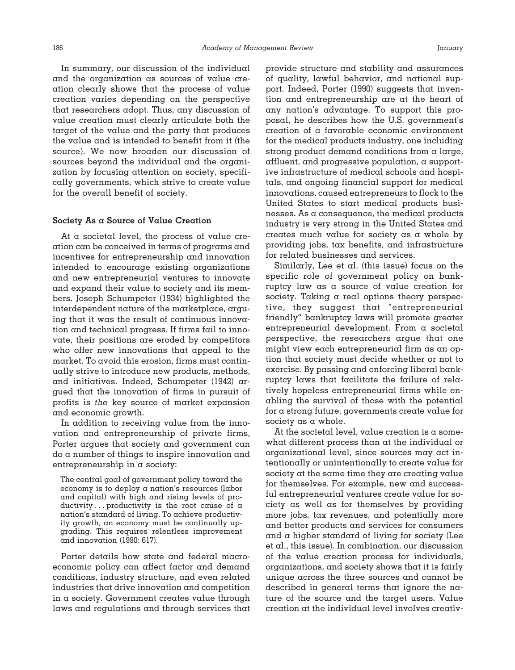In summary, our discussion of the individual and the organization as sources of value creation clearly shows that the process of value creation varies depending on the perspective that researchers adopt. Thus, any discussion of value creation must clearly articulate both the target of the value and the party that produces the value and is intended to benefit from it (the source). We now broaden our discussion of sources beyond the individual and the organization by focusing attention on society, specifically governments, which strive to create value for the overall benefit of society.

#### **Society As a Source of Value Creation**

At a societal level, the process of value creation can be conceived in terms of programs and incentives for entrepreneurship and innovation intended to encourage existing organizations and new entrepreneurial ventures to innovate and expand their value to society and its members. Joseph Schumpeter (1934) highlighted the interdependent nature of the marketplace, arguing that it was the result of continuous innovation and technical progress. If firms fail to innovate, their positions are eroded by competitors who offer new innovations that appeal to the market. To avoid this erosion, firms must continually strive to introduce new products, methods, and initiatives. Indeed, Schumpeter (1942) argued that the innovation of firms in pursuit of profits is *the* key source of market expansion and economic growth.

In addition to receiving value from the innovation and entrepreneurship of private firms, Porter argues that society and government can do a number of things to inspire innovation and entrepreneurship in a society:

The central goal of government policy toward the economy is to deploy a nation's resources (labor and capital) with high and rising levels of productivity... productivity is the root cause of a nation's standard of living. To achieve productivity growth, an economy must be continually upgrading. This requires relentless improvement and innovation (1990: 617).

Porter details how state and federal macroeconomic policy can affect factor and demand conditions, industry structure, and even related industries that drive innovation and competition in a society. Government creates value through laws and regulations and through services that

provide structure and stability and assurances of quality, lawful behavior, and national support. Indeed, Porter (1990) suggests that invention and entrepreneurship are at the heart of any nation's advantage. To support this proposal, he describes how the U.S. government's creation of a favorable economic environment for the medical products industry, one including strong product demand conditions from a large, affluent, and progressive population, a supportive infrastructure of medical schools and hospitals, and ongoing financial support for medical innovations, caused entrepreneurs to flock to the United States to start medical products businesses. As a consequence, the medical products industry is very strong in the United States and creates much value for society as a whole by providing jobs, tax benefits, and infrastructure for related businesses and services.

Similarly, Lee et al. (this issue) focus on the specific role of government policy on bankruptcy law as a source of value creation for society. Taking a real options theory perspective, they suggest that "entrepreneurial friendly" bankruptcy laws will promote greater entrepreneurial development. From a societal perspective, the researchers argue that one might view each entrepreneurial firm as an option that society must decide whether or not to exercise. By passing and enforcing liberal bankruptcy laws that facilitate the failure of relatively hopeless entrepreneurial firms while enabling the survival of those with the potential for a strong future, governments create value for society as a whole.

At the societal level, value creation is a somewhat different process than at the individual or organizational level, since sources may act intentionally or unintentionally to create value for society at the same time they are creating value for themselves. For example, new and successful entrepreneurial ventures create value for society as well as for themselves by providing more jobs, tax revenues, and potentially more and better products and services for consumers and a higher standard of living for society (Lee et al., this issue). In combination, our discussion of the value creation process for individuals, organizations, and society shows that it is fairly unique across the three sources and cannot be described in general terms that ignore the nature of the source and the target users. Value creation at the individual level involves creativ-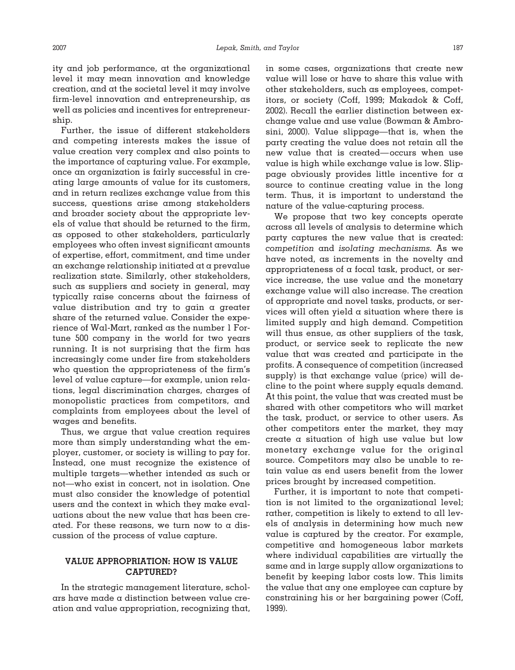ity and job performance, at the organizational level it may mean innovation and knowledge creation, and at the societal level it may involve firm-level innovation and entrepreneurship, as well as policies and incentives for entrepreneurship.

Further, the issue of different stakeholders and competing interests makes the issue of value creation very complex and also points to the importance of capturing value. For example, once an organization is fairly successful in creating large amounts of value for its customers, and in return realizes exchange value from this success, questions arise among stakeholders and broader society about the appropriate levels of value that should be returned to the firm, as opposed to other stakeholders, particularly employees who often invest significant amounts of expertise, effort, commitment, and time under an exchange relationship initiated at a prevalue realization state. Similarly, other stakeholders, such as suppliers and society in general, may typically raise concerns about the fairness of value distribution and try to gain a greater share of the returned value. Consider the experience of Wal-Mart, ranked as the number 1 Fortune 500 company in the world for two years running. It is not surprising that the firm has increasingly come under fire from stakeholders who question the appropriateness of the firm's level of value capture—for example, union relations, legal discrimination charges, charges of monopolistic practices from competitors, and complaints from employees about the level of wages and benefits.

Thus, we argue that value creation requires more than simply understanding what the employer, customer, or society is willing to pay for. Instead, one must recognize the existence of multiple targets—whether intended as such or not—who exist in concert, not in isolation. One must also consider the knowledge of potential users and the context in which they make evaluations about the new value that has been created. For these reasons, we turn now to a discussion of the process of value capture.

### **VALUE APPROPRIATION: HOW IS VALUE CAPTURED?**

In the strategic management literature, scholars have made a distinction between value creation and value appropriation, recognizing that, in some cases, organizations that create new value will lose or have to share this value with other stakeholders, such as employees, competitors, or society (Coff, 1999; Makadok & Coff, 2002). Recall the earlier distinction between exchange value and use value (Bowman & Ambrosini, 2000). Value slippage—that is, when the party creating the value does not retain all the new value that is created— occurs when use value is high while exchange value is low. Slippage obviously provides little incentive for a source to continue creating value in the long term. Thus, it is important to understand the nature of the value-capturing process.

We propose that two key concepts operate across all levels of analysis to determine which party captures the new value that is created: *competition* and *isolating mechanisms.* As we have noted, as increments in the novelty and appropriateness of a focal task, product, or service increase, the use value and the monetary exchange value will also increase. The creation of appropriate and novel tasks, products, or services will often yield a situation where there is limited supply and high demand. Competition will thus ensue, as other suppliers of the task, product, or service seek to replicate the new value that was created and participate in the profits. A consequence of competition (increased supply) is that exchange value (price) will decline to the point where supply equals demand. At this point, the value that was created must be shared with other competitors who will market the task, product, or service to other users. As other competitors enter the market, they may create a situation of high use value but low monetary exchange value for the original source. Competitors may also be unable to retain value as end users benefit from the lower prices brought by increased competition.

Further, it is important to note that competition is not limited to the organizational level; rather, competition is likely to extend to all levels of analysis in determining how much new value is captured by the creator. For example, competitive and homogeneous labor markets where individual capabilities are virtually the same and in large supply allow organizations to benefit by keeping labor costs low. This limits the value that any one employee can capture by constraining his or her bargaining power (Coff, 1999).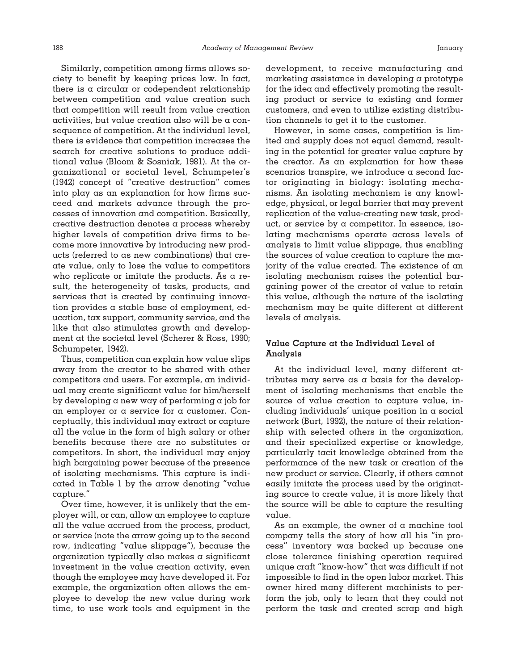Similarly, competition among firms allows society to benefit by keeping prices low. In fact, there is a circular or codependent relationship between competition and value creation such that competition will result from value creation activities, but value creation also will be a consequence of competition. At the individual level, there is evidence that competition increases the search for creative solutions to produce additional value (Bloom & Sosniak, 1981). At the organizational or societal level, Schumpeter's (1942) concept of "creative destruction" comes into play as an explanation for how firms succeed and markets advance through the processes of innovation and competition. Basically, creative destruction denotes a process whereby higher levels of competition drive firms to become more innovative by introducing new products (referred to as new combinations) that create value, only to lose the value to competitors who replicate or imitate the products. As a result, the heterogeneity of tasks, products, and services that is created by continuing innovation provides a stable base of employment, education, tax support, community service, and the like that also stimulates growth and development at the societal level (Scherer & Ross, 1990; Schumpeter, 1942).

Thus, competition can explain how value slips away from the creator to be shared with other competitors and users. For example, an individual may create significant value for him/herself by developing a new way of performing a job for an employer or a service for a customer. Conceptually, this individual may extract or capture all the value in the form of high salary or other benefits because there are no substitutes or competitors. In short, the individual may enjoy high bargaining power because of the presence of isolating mechanisms. This capture is indicated in Table 1 by the arrow denoting "value capture."

Over time, however, it is unlikely that the employer will, or can, allow an employee to capture all the value accrued from the process, product, or service (note the arrow going up to the second row, indicating "value slippage"), because the organization typically also makes a significant investment in the value creation activity, even though the employee may have developed it. For example, the organization often allows the employee to develop the new value during work time, to use work tools and equipment in the

development, to receive manufacturing and marketing assistance in developing a prototype for the idea and effectively promoting the resulting product or service to existing and former customers, and even to utilize existing distribution channels to get it to the customer.

However, in some cases, competition is limited and supply does not equal demand, resulting in the potential for greater value capture by the creator. As an explanation for how these scenarios transpire, we introduce a second factor originating in biology: isolating mechanisms. An isolating mechanism is any knowledge, physical, or legal barrier that may prevent replication of the value-creating new task, product, or service by a competitor. In essence, isolating mechanisms operate across levels of analysis to limit value slippage, thus enabling the sources of value creation to capture the majority of the value created. The existence of an isolating mechanism raises the potential bargaining power of the creator of value to retain this value, although the nature of the isolating mechanism may be quite different at different levels of analysis.

## **Value Capture at the Individual Level of Analysis**

At the individual level, many different attributes may serve as a basis for the development of isolating mechanisms that enable the source of value creation to capture value, including individuals' unique position in  $\alpha$  social network (Burt, 1992), the nature of their relationship with selected others in the organization, and their specialized expertise or knowledge, particularly tacit knowledge obtained from the performance of the new task or creation of the new product or service. Clearly, if others cannot easily imitate the process used by the originating source to create value, it is more likely that the source will be able to capture the resulting value.

As an example, the owner of a machine tool company tells the story of how all his "in process" inventory was backed up because one close tolerance finishing operation required unique craft "know-how" that was difficult if not impossible to find in the open labor market. This owner hired many different machinists to perform the job, only to learn that they could not perform the task and created scrap and high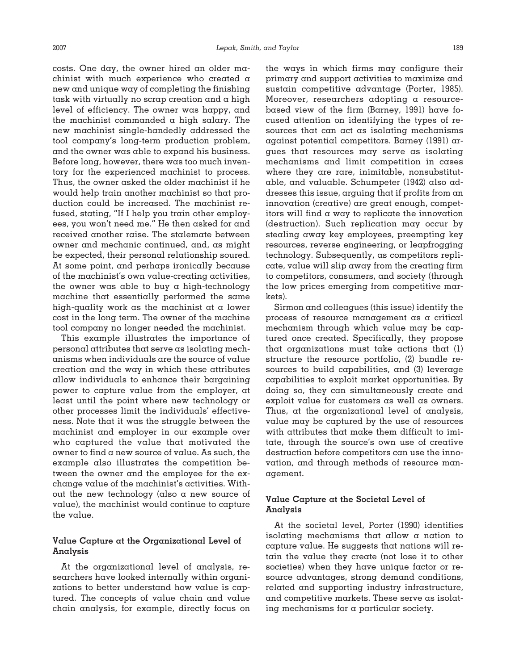costs. One day, the owner hired an older machinist with much experience who created a new and unique way of completing the finishing task with virtually no scrap creation and a high level of efficiency. The owner was happy, and the machinist commanded a high salary. The new machinist single-handedly addressed the tool company's long-term production problem, and the owner was able to expand his business. Before long, however, there was too much inventory for the experienced machinist to process. Thus, the owner asked the older machinist if he would help train another machinist so that production could be increased. The machinist refused, stating, "If I help you train other employees, you won't need me." He then asked for and received another raise. The stalemate between owner and mechanic continued, and, as might be expected, their personal relationship soured. At some point, and perhaps ironically because of the machinist's own value-creating activities, the owner was able to buy a high-technology machine that essentially performed the same high-quality work as the machinist at a lower cost in the long term. The owner of the machine tool company no longer needed the machinist.

This example illustrates the importance of personal attributes that serve as isolating mechanisms when individuals are the source of value creation and the way in which these attributes allow individuals to enhance their bargaining power to capture value from the employer, at least until the point where new technology or other processes limit the individuals' effectiveness. Note that it was the struggle between the machinist and employer in our example over who captured the value that motivated the owner to find  $\alpha$  new source of value. As such, the example also illustrates the competition between the owner and the employee for the exchange value of the machinist's activities. Without the new technology (also a new source of value), the machinist would continue to capture the value.

### **Value Capture at the Organizational Level of Analysis**

At the organizational level of analysis, researchers have looked internally within organizations to better understand how value is captured. The concepts of value chain and value chain analysis, for example, directly focus on the ways in which firms may configure their primary and support activities to maximize and sustain competitive advantage (Porter, 1985). Moreover, researchers adopting a resourcebased view of the firm (Barney, 1991) have focused attention on identifying the types of resources that can act as isolating mechanisms against potential competitors. Barney (1991) argues that resources may serve as isolating mechanisms and limit competition in cases where they are rare, inimitable, nonsubstitutable, and valuable. Schumpeter (1942) also addresses this issue, arguing that if profits from an innovation (creative) are great enough, competitors will find a way to replicate the innovation (destruction). Such replication may occur by stealing away key employees, preempting key resources, reverse engineering, or leapfrogging technology. Subsequently, as competitors replicate, value will slip away from the creating firm to competitors, consumers, and society (through the low prices emerging from competitive markets).

Sirmon and colleagues (this issue) identify the process of resource management as a critical mechanism through which value may be captured once created. Specifically, they propose that organizations must take actions that (1) structure the resource portfolio, (2) bundle resources to build capabilities, and (3) leverage capabilities to exploit market opportunities. By doing so, they can simultaneously create and exploit value for customers as well as owners. Thus, at the organizational level of analysis, value may be captured by the use of resources with attributes that make them difficult to imitate, through the source's own use of creative destruction before competitors can use the innovation, and through methods of resource management.

# **Value Capture at the Societal Level of Analysis**

At the societal level, Porter (1990) identifies isolating mechanisms that allow a nation to capture value. He suggests that nations will retain the value they create (not lose it to other societies) when they have unique factor or resource advantages, strong demand conditions, related and supporting industry infrastructure, and competitive markets. These serve as isolating mechanisms for a particular society.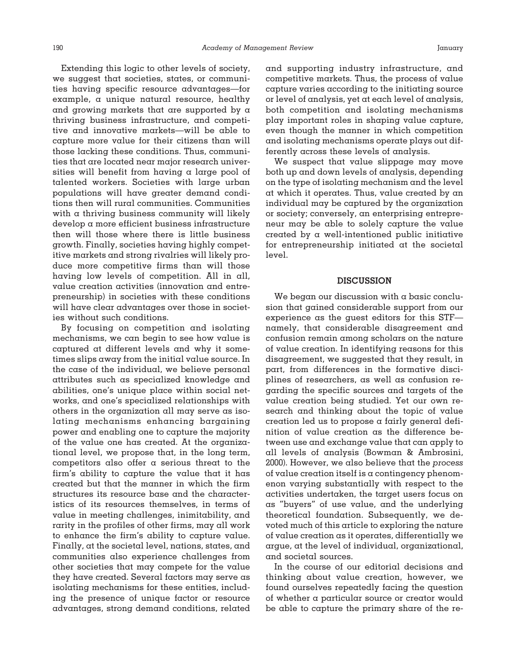Extending this logic to other levels of society, we suggest that societies, states, or communities having specific resource advantages—for example, a unique natural resource, healthy and growing markets that are supported by a thriving business infrastructure, and competitive and innovative markets—will be able to capture more value for their citizens than will those lacking these conditions. Thus, communities that are located near major research universities will benefit from having a large pool of talented workers. Societies with large urban populations will have greater demand conditions then will rural communities. Communities with a thriving business community will likely develop a more efficient business infrastructure then will those where there is little business growth. Finally, societies having highly competitive markets and strong rivalries will likely produce more competitive firms than will those having low levels of competition. All in all, value creation activities (innovation and entrepreneurship) in societies with these conditions will have clear advantages over those in societies without such conditions.

By focusing on competition and isolating mechanisms, we can begin to see how value is captured at different levels and why it sometimes slips away from the initial value source. In the case of the individual, we believe personal attributes such as specialized knowledge and abilities, one's unique place within social networks, and one's specialized relationships with others in the organization all may serve as isolating mechanisms enhancing bargaining power and enabling one to capture the majority of the value one has created. At the organizational level, we propose that, in the long term, competitors also offer a serious threat to the firm's ability to capture the value that it has created but that the manner in which the firm structures its resource base and the characteristics of its resources themselves, in terms of value in meeting challenges, inimitability, and rarity in the profiles of other firms, may all work to enhance the firm's ability to capture value. Finally, at the societal level, nations, states, and communities also experience challenges from other societies that may compete for the value they have created. Several factors may serve as isolating mechanisms for these entities, including the presence of unique factor or resource advantages, strong demand conditions, related

and supporting industry infrastructure, and competitive markets. Thus, the process of value capture varies according to the initiating source or level of analysis, yet at each level of analysis, both competition and isolating mechanisms play important roles in shaping value capture, even though the manner in which competition and isolating mechanisms operate plays out differently across these levels of analysis.

We suspect that value slippage may move both up and down levels of analysis, depending on the type of isolating mechanism and the level at which it operates. Thus, value created by an individual may be captured by the organization or society; conversely, an enterprising entrepreneur may be able to solely capture the value created by a well-intentioned public initiative for entrepreneurship initiated at the societal level.

#### **DISCUSSION**

We began our discussion with a basic conclusion that gained considerable support from our experience as the guest editors for this STF namely, that considerable disagreement and confusion remain among scholars on the nature of value creation. In identifying reasons for this disagreement, we suggested that they result, in part, from differences in the formative disciplines of researchers, as well as confusion regarding the specific sources and targets of the value creation being studied. Yet our own research and thinking about the topic of value creation led us to propose a fairly general definition of value creation as the difference between use and exchange value that can apply to all levels of analysis (Bowman & Ambrosini, 2000). However, we also believe that the *process* of value creation itself is a contingency phenomenon varying substantially with respect to the activities undertaken, the target users focus on as "buyers" of use value, and the underlying theoretical foundation. Subsequently, we devoted much of this article to exploring the nature of value creation as it operates, differentially we argue, at the level of individual, organizational, and societal sources.

In the course of our editorial decisions and thinking about value creation, however, we found ourselves repeatedly facing the question of whether a particular source or creator would be able to capture the primary share of the re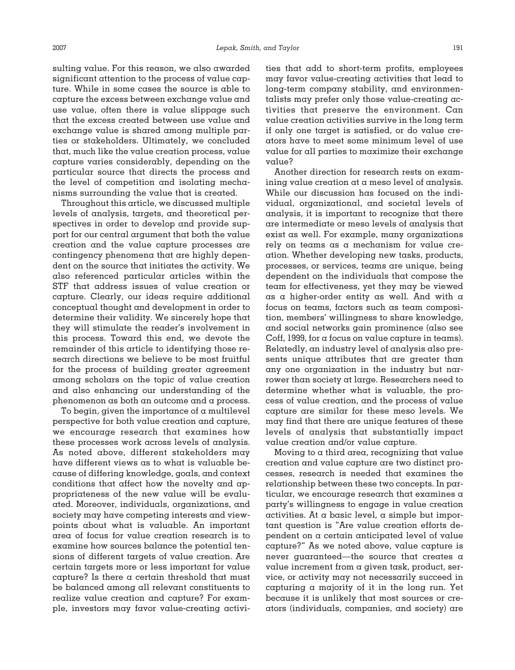sulting value. For this reason, we also awarded significant attention to the process of value capture. While in some cases the source is able to capture the excess between exchange value and use value, often there is value slippage such that the excess created between use value and exchange value is shared among multiple parties or stakeholders. Ultimately, we concluded that, much like the value creation process, value capture varies considerably, depending on the particular source that directs the process and the level of competition and isolating mechanisms surrounding the value that is created.

Throughout this article, we discussed multiple levels of analysis, targets, and theoretical perspectives in order to develop and provide support for our central argument that both the value creation and the value capture processes are contingency phenomena that are highly dependent on the source that initiates the activity. We also referenced particular articles within the STF that address issues of value creation or capture. Clearly, our ideas require additional conceptual thought and development in order to determine their validity. We sincerely hope that they will stimulate the reader's involvement in this process. Toward this end, we devote the remainder of this article to identifying those research directions we believe to be most fruitful for the process of building greater agreement among scholars on the topic of value creation and also enhancing our understanding of the phenomenon as both an outcome and a process.

To begin, given the importance of a multilevel perspective for both value creation and capture, we encourage research that examines how these processes work across levels of analysis. As noted above, different stakeholders may have different views as to what is valuable because of differing knowledge, goals, and context conditions that affect how the novelty and appropriateness of the new value will be evaluated. Moreover, individuals, organizations, and society may have competing interests and viewpoints about what is valuable. An important area of focus for value creation research is to examine how sources balance the potential tensions of different targets of value creation. Are certain targets more or less important for value capture? Is there a certain threshold that must be balanced among all relevant constituents to realize value creation and capture? For example, investors may favor value-creating activities that add to short-term profits, employees may favor value-creating activities that lead to long-term company stability, and environmentalists may prefer only those value-creating activities that preserve the environment. Can value creation activities survive in the long term if only one target is satisfied, or do value creators have to meet some minimum level of use value for all parties to maximize their exchange value?

Another direction for research rests on examining value creation at a meso level of analysis. While our discussion has focused on the individual, organizational, and societal levels of analysis, it is important to recognize that there are intermediate or meso levels of analysis that exist as well. For example, many organizations rely on teams as a mechanism for value creation. Whether developing new tasks, products, processes, or services, teams are unique, being dependent on the individuals that compose the team for effectiveness, yet they may be viewed as a higher-order entity as well. And with a focus on teams, factors such as team composition, members' willingness to share knowledge, and social networks gain prominence (also see Coff, 1999, for a focus on value capture in teams). Relatedly, an industry level of analysis also presents unique attributes that are greater than any one organization in the industry but narrower than society at large. Researchers need to determine whether what is valuable, the process of value creation, and the process of value capture are similar for these meso levels. We may find that there are unique features of these levels of analysis that substantially impact value creation and/or value capture.

Moving to a third area, recognizing that value creation and value capture are two distinct processes, research is needed that examines the relationship between these two concepts. In particular, we encourage research that examines a party's willingness to engage in value creation activities. At a basic level, a simple but important question is "Are value creation efforts dependent on a certain anticipated level of value capture?" As we noted above, value capture is never guaranteed—the source that creates a value increment from a given task, product, service, or activity may not necessarily succeed in capturing a majority of it in the long run. Yet because it is unlikely that most sources or creators (individuals, companies, and society) are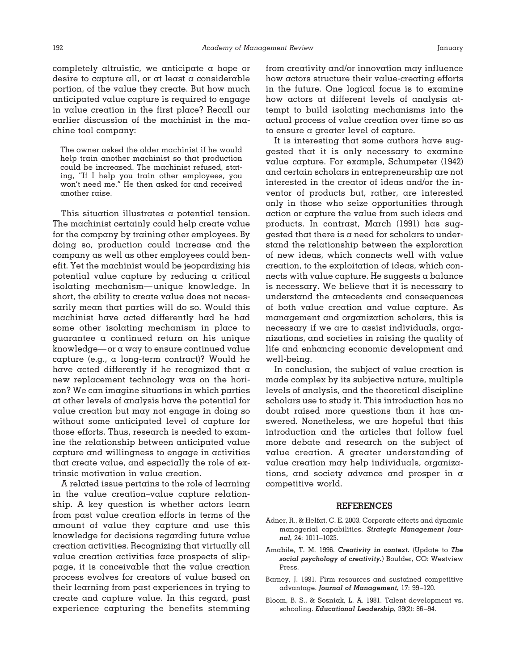completely altruistic, we anticipate a hope or desire to capture all, or at least a considerable portion, of the value they create. But how much anticipated value capture is required to engage in value creation in the first place? Recall our earlier discussion of the machinist in the machine tool company:

The owner asked the older machinist if he would help train another machinist so that production could be increased. The machinist refused, stating, "If I help you train other employees, you won't need me." He then asked for and received another raise.

This situation illustrates a potential tension. The machinist certainly could help create value for the company by training other employees. By doing so, production could increase and the company as well as other employees could benefit. Yet the machinist would be jeopardizing his potential value capture by reducing a critical isolating mechanism—unique knowledge. In short, the ability to create value does not necessarily mean that parties will do so. Would this machinist have acted differently had he had some other isolating mechanism in place to guarantee a continued return on his unique knowledge— or a way to ensure continued value capture (e.g., a long-term contract)? Would he have acted differently if he recognized that a new replacement technology was on the horizon? We can imagine situations in which parties at other levels of analysis have the potential for value creation but may not engage in doing so without some anticipated level of capture for those efforts. Thus, research is needed to examine the relationship between anticipated value capture and willingness to engage in activities that create value, and especially the role of extrinsic motivation in value creation.

A related issue pertains to the role of learning in the value creation–value capture relationship. A key question is whether actors learn from past value creation efforts in terms of the amount of value they capture and use this knowledge for decisions regarding future value creation activities. Recognizing that virtually all value creation activities face prospects of slippage, it is conceivable that the value creation process evolves for creators of value based on their learning from past experiences in trying to create and capture value. In this regard, past experience capturing the benefits stemming

from creativity and/or innovation may influence how actors structure their value-creating efforts in the future. One logical focus is to examine how actors at different levels of analysis attempt to build isolating mechanisms into the actual process of value creation over time so as to ensure a greater level of capture.

It is interesting that some authors have suggested that it is only necessary to examine value capture. For example, Schumpeter (1942) and certain scholars in entrepreneurship are not interested in the creator of ideas and/or the inventor of products but, rather, are interested only in those who seize opportunities through action or capture the value from such ideas and products. In contrast, March (1991) has suggested that there is a need for scholars to understand the relationship between the exploration of new ideas, which connects well with value creation, to the exploitation of ideas, which connects with value capture. He suggests a balance is necessary. We believe that it is necessary to understand the antecedents and consequences of both value creation and value capture. As management and organization scholars, this is necessary if we are to assist individuals, organizations, and societies in raising the quality of life and enhancing economic development and well-being.

In conclusion, the subject of value creation is made complex by its subjective nature, multiple levels of analysis, and the theoretical discipline scholars use to study it. This introduction has no doubt raised more questions than it has answered. Nonetheless, we are hopeful that this introduction and the articles that follow fuel more debate and research on the subject of value creation. A greater understanding of value creation may help individuals, organizations, and society advance and prosper in a competitive world.

#### **REFERENCES**

- Adner, R., & Helfat, C. E. 2003. Corporate effects and dynamic managerial capabilities. *Strategic Management Journal,* 24: 1011–1025.
- Amabile, T. M. 1996. *Creativity in context.* (Update to *The social psychology of creativity.*) Boulder, CO: Westview Press.
- Barney, J. 1991. Firm resources and sustained competitive advantage. *Journal of Management,* 17: 99 –120.
- Bloom, B. S., & Sosniak, L. A. 1981. Talent development vs. schooling. *Educational Leadership,* 39(2): 86 –94.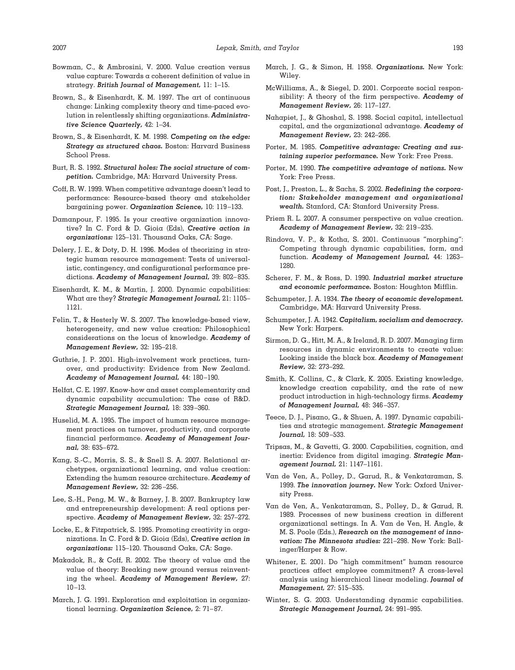- Bowman, C., & Ambrosini, V. 2000. Value creation versus value capture: Towards a coherent definition of value in strategy. *British Journal of Management,* 11: 1–15.
- Brown, S., & Eisenhardt, K. M. 1997. The art of continuous change: Linking complexity theory and time-paced evolution in relentlessly shifting organizations. *Administrative Science Quarterly,* 42: 1–34.
- Brown, S., & Eisenhardt, K. M. 1998. *Competing on the edge: Strategy as structured chaos.* Boston: Harvard Business School Press.
- Burt, R. S. 1992. *Structural holes: The social structure of competition.* Cambridge, MA: Harvard University Press.
- Coff, R. W. 1999. When competitive advantage doesn't lead to performance: Resource-based theory and stakeholder bargaining power. *Organization Science,* 10: 119 –133.
- Damanpour, F. 1995. Is your creative organization innovative? In C. Ford & D. Gioia (Eds), *Creative action in organizations:* 125–131. Thousand Oaks, CA: Sage.
- Delery, J. E., & Doty, D. H. 1996. Modes of theorizing in strategic human resource management: Tests of universalistic, contingency, and configurational performance predictions. *Academy of Management Journal,* 39: 802– 835.
- Eisenhardt, K. M., & Martin, J. 2000. Dynamic capabilities: What are they? *Strategic Management Journal,* 21: 1105– 1121.
- Felin, T., & Hesterly W. S. 2007. The knowledge-based view, heterogeneity, and new value creation: Philosophical considerations on the locus of knowledge. *Academy of Management Review,* 32: 195–218.
- Guthrie, J. P. 2001. High-involvement work practices, turnover, and productivity: Evidence from New Zealand. *Academy of Management Journal,* 44: 180 –190.
- Helfat, C. E. 1997. Know-how and asset complementarity and dynamic capability accumulation: The case of R&D. *Strategic Management Journal,* 18: 339 –360.
- Huselid, M. A. 1995. The impact of human resource management practices on turnover, productivity, and corporate financial performance. *Academy of Management Journal,* 38: 635– 672.
- Kang, S.-C., Morris, S. S., & Snell S. A. 2007. Relational archetypes, organizational learning, and value creation: Extending the human resource architecture. *Academy of Management Review,* 32: 236 –256.
- Lee, S.-H., Peng, M. W., & Barney, J. B. 2007. Bankruptcy law and entrepreneurship development: A real options perspective. *Academy of Management Review,* 32: 257–272.
- Locke, E., & Fitzpatrick, S. 1995. Promoting creativity in organizations. In C. Ford & D. Gioia (Eds), *Creative action in organizations:* 115–120. Thousand Oaks, CA: Sage.
- Makadok, R., & Coff, R. 2002. The theory of value and the value of theory: Breaking new ground versus reinventing the wheel. *Academy of Management Review,* 27: 10 –13.
- March, J. G. 1991. Exploration and exploitation in organizational learning. Organization Science, 2: 71-87.
- March, J. G., & Simon, H. 1958. *Organizations.* New York: Wiley.
- McWilliams, A., & Siegel, D. 2001. Corporate social responsibility: A theory of the firm perspective. *Academy of Management Review,* 26: 117–127.
- Nahapiet, J., & Ghoshal, S. 1998. Social capital, intellectual capital, and the organizational advantage. *Academy of Management Review,* 23: 242–266.
- Porter, M. 1985. *Competitive advantage: Creating and sustaining superior performance.* New York: Free Press.
- Porter, M. 1990. *The competitive advantage of nations.* New York: Free Press.
- Post, J., Preston, L., & Sachs, S. 2002. *Redefining the corporation: Stakeholder management and organizational wealth.* Stanford, CA: Stanford University Press.
- Priem R. L. 2007. A consumer perspective on value creation. *Academy of Management Review,* 32: 219 –235.
- Rindova, V. P., & Kotha, S. 2001. Continuous "morphing": Competing through dynamic capabilities, form, and function. *Academy of Management Journal,* 44: 1263– 1280.
- Scherer, F. M., & Ross, D. 1990. *Industrial market structure and economic performance.* Boston: Houghton Mifflin.
- Schumpeter, J. A. 1934. *The theory of economic development.* Cambridge, MA: Harvard University Press.
- Schumpeter, J. A. 1942. *Capitalism, socialism and democracy.* New York: Harpers.
- Sirmon, D. G., Hitt, M. A., & Ireland, R. D. 2007. Managing firm resources in dynamic environments to create value: Looking inside the black box. *Academy of Management Review,* 32: 273–292.
- Smith, K. Collins, C., & Clark, K. 2005. Existing knowledge, knowledge creation capability, and the rate of new product introduction in high-technology firms. *Academy of Management Journal,* 48: 346 –357.
- Teece, D. J., Pisano, G., & Shuen, A. 1997. Dynamic capabilities and strategic management. *Strategic Management Journal,* 18: 509 –533.
- Tripsas, M., & Gavetti, G. 2000. Capabilities, cognition, and inertia: Evidence from digital imaging. *Strategic Management Journal,* 21: 1147–1161.
- Van de Ven, A., Polley, D., Garud, R., & Venkataraman, S. 1999. *The innovation journey.* New York: Oxford University Press.
- Van de Ven, A., Venkataraman, S., Polley, D., & Garud, R. 1989. Processes of new business creation in different organizational settings. In A. Van de Ven, H. Angle, & M. S. Poole (Eds.), *Research on the management of innovation: The Minnesota studies:* 221–298. New York: Ballinger/Harper & Row.
- Whitener, E. 2001. Do "high commitment" human resource practices affect employee commitment? A cross-level analysis using hierarchical linear modeling. *Journal of Management,* 27: 515–535.
- Winter, S. G. 2003. Understanding dynamic capabilities. *Strategic Management Journal,* 24: 991–995.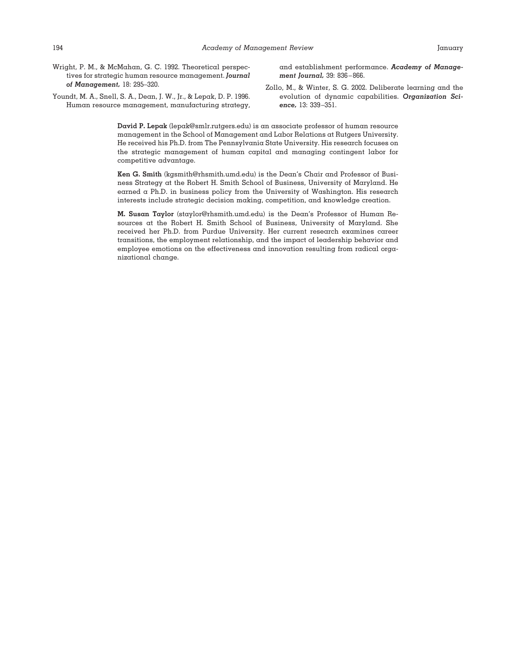- Wright, P. M., & McMahan, G. C. 1992. Theoretical perspectives for strategic human resource management. *Journal of Management,* 18: 295–320.
- and establishment performance. *Academy of Management Journal,* 39: 836 – 866.
- Youndt, M. A., Snell, S. A., Dean, J. W., Jr., & Lepak, D. P. 1996. Human resource management, manufacturing strategy,

Zollo, M., & Winter, S. G. 2002. Deliberate learning and the evolution of dynamic capabilities. *Organization Science,* 13: 339 –351.

**David P. Lepak** (lepak@smlr.rutgers.edu) is an associate professor of human resource management in the School of Management and Labor Relations at Rutgers University. He received his Ph.D. from The Pennsylvania State University. His research focuses on the strategic management of human capital and managing contingent labor for competitive advantage.

**Ken G. Smith** (kgsmith@rhsmith.umd.edu) is the Dean's Chair and Professor of Business Strategy at the Robert H. Smith School of Business, University of Maryland. He earned a Ph.D. in business policy from the University of Washington. His research interests include strategic decision making, competition, and knowledge creation.

**M. Susan Taylor** (staylor@rhsmith.umd.edu) is the Dean's Professor of Human Resources at the Robert H. Smith School of Business, University of Maryland. She received her Ph.D. from Purdue University. Her current research examines career transitions, the employment relationship, and the impact of leadership behavior and employee emotions on the effectiveness and innovation resulting from radical organizational change.